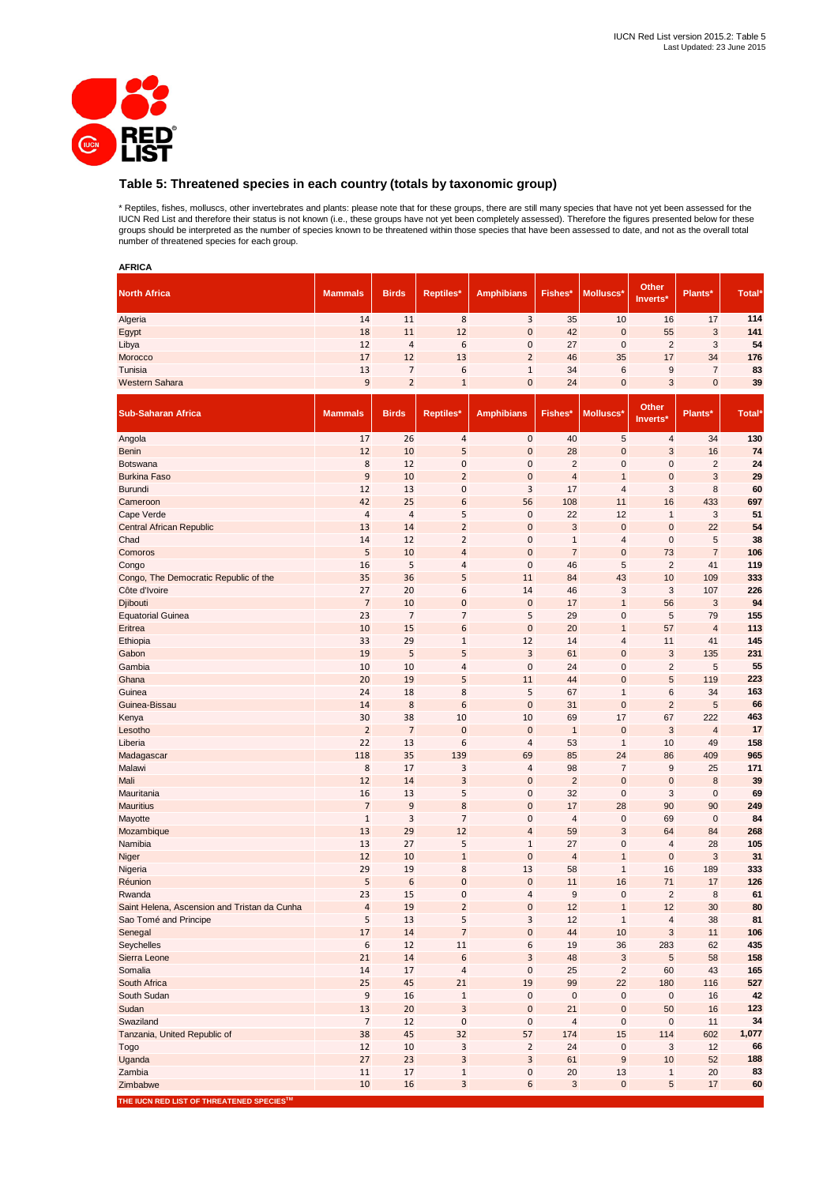

# **Table 5: Threatened species in each country (totals by taxonomic group)**

\* Reptiles, fishes, molluscs, other invertebrates and plants: please note that for these groups, there are still many species that have not yet been assessed for the<br>IUCN Red List and therefore their status is not known (i

| <b>AFRICA</b>                                 |                      |                          |                         |                      |                  |                         |                         |                |            |
|-----------------------------------------------|----------------------|--------------------------|-------------------------|----------------------|------------------|-------------------------|-------------------------|----------------|------------|
| <b>North Africa</b>                           | <b>Mammals</b>       | <b>Birds</b>             | <b>Reptiles*</b>        | <b>Amphibians</b>    | Fishes*          | Molluscs*               | Other<br>Inverts*       | Plants*        | Total*     |
| Algeria                                       | 14                   | 11                       | 8                       | 3                    | 35               | 10                      | 16                      | 17             | 114        |
| Egypt                                         | 18                   | 11                       | 12                      | $\pmb{0}$            | 42               | $\pmb{0}$               | 55                      | $\mathbf{3}$   | 141        |
| Libya                                         | 12                   | 4                        | 6                       | 0                    | 27               | $\pmb{0}$               | $\sqrt{2}$              | 3              | 54         |
| Morocco                                       | 17                   | 12                       | 13                      | $\overline{2}$       | 46               | 35                      | 17                      | 34             | 176        |
| Tunisia                                       | 13                   | $\overline{\phantom{a}}$ | 6                       | $\mathbf{1}$         | 34               | $\,6$                   | 9                       | $\overline{7}$ | 83         |
| <b>Western Sahara</b>                         | 9                    | $\overline{2}$           | $1\,$                   | 0                    | 24               | $\pmb{0}$               | $\sqrt{3}$              | $\mathbf 0$    | 39         |
| <b>Sub-Saharan Africa</b>                     | <b>Mammals</b>       | <b>Birds</b>             | Reptiles*               | <b>Amphibians</b>    | Fishes*          | Molluscs*               | Other<br>Inverts*       | Plants*        | Total*     |
| Angola                                        | 17                   | 26                       | $\sqrt{4}$              | $\pmb{0}$            | 40               | 5                       | $\overline{\mathbf{4}}$ | 34             | 130        |
| <b>Benin</b>                                  | 12                   | 10                       | 5                       | $\mathbf 0$          | 28               | $\mathbf 0$             | 3                       | 16             | 74         |
| <b>Botswana</b>                               | 8                    | 12                       | $\mathbf 0$             | $\pmb{0}$            | $\overline{2}$   | $\mathbf 0$             | $\mathbf 0$             | $\overline{2}$ | 24         |
| <b>Burkina Faso</b>                           | 9                    | 10                       | $\overline{2}$          | $\mathbf 0$          | $\overline{4}$   | $\mathbf{1}$            | $\mathbf 0$             | 3              | 29         |
| Burundi                                       | 12                   | 13                       | $\mathbf 0$             | 3                    | 17               | 4                       | 3                       | 8              | 60         |
| Cameroon                                      | 42<br>$\overline{4}$ | 25<br>$\overline{4}$     | 6<br>5                  | 56<br>$\pmb{0}$      | 108<br>22        | 11<br>12                | 16<br>$\mathbf{1}$      | 433<br>3       | 697<br>51  |
| Cape Verde<br><b>Central African Republic</b> | 13                   | 14                       | $\overline{2}$          | $\mathbf 0$          | 3                | $\mathbf 0$             | $\mathbf 0$             | 22             | 54         |
| Chad                                          | 14                   | 12                       | $\overline{2}$          | $\pmb{0}$            | $\mathbf{1}$     | $\overline{\mathbf{4}}$ | $\mathbf 0$             | 5              | 38         |
| Comoros                                       | 5                    | 10                       | $\overline{a}$          | $\mathbf 0$          | $\overline{7}$   | $\mathbf 0$             | 73                      | $\overline{7}$ | 106        |
| Congo                                         | 16                   | 5                        | $\overline{4}$          | $\pmb{0}$            | 46               | 5                       | $\overline{2}$          | 41             | 119        |
| Congo, The Democratic Republic of the         | 35                   | 36                       | 5                       | 11                   | 84               | 43                      | 10                      | 109            | 333        |
| Côte d'Ivoire                                 | 27                   | 20                       | 6                       | 14                   | 46               | 3                       | 3                       | 107            | 226        |
| Djibouti                                      | $\overline{7}$       | 10                       | $\mathbf{0}$            | $\mathbf 0$          | 17               | $\mathbf{1}$            | 56                      | 3              | 94         |
| <b>Equatorial Guinea</b>                      | 23                   | $\overline{7}$           | $\overline{7}$          | 5                    | 29               | $\mathbf 0$             | 5                       | 79             | 155        |
| Eritrea                                       | 10                   | 15                       | 6                       | $\mathbf 0$          | 20               | $\mathbf{1}$            | 57                      | $\overline{4}$ | 113        |
| Ethiopia                                      | 33                   | 29                       | $\mathbf 1$             | 12                   | 14               | 4                       | 11                      | 41             | 145        |
| Gabon                                         | 19                   | 5                        | 5                       | 3                    | 61               | $\mathbf 0$             | 3                       | 135            | 231        |
| Gambia                                        | 10                   | 10                       | $\overline{4}$          | $\bf 0$              | 24               | $\mathbf 0$             | $\overline{2}$          | 5              | 55         |
| Ghana                                         | 20                   | 19                       | 5                       | 11                   | 44               | $\mathbf 0$             | 5                       | 119            | 223        |
| Guinea                                        | 24                   | 18                       | 8                       | 5                    | 67               | $\mathbf{1}$            | 6                       | 34             | 163        |
| Guinea-Bissau                                 | 14                   | 8                        | 6                       | $\mathbf 0$          | 31               | $\mathbf 0$             | $\overline{2}$          | 5              | 66         |
| Kenya                                         | 30                   | 38                       | 10                      | 10                   | 69               | 17                      | 67                      | 222            | 463        |
| Lesotho                                       | $\overline{2}$       | $\overline{7}$           | $\mathbf 0$             | $\mathbf 0$          | $\mathbf{1}$     | $\mathbf 0$             | 3                       | $\overline{4}$ | 17         |
| Liberia                                       | 22<br>118            | 13<br>35                 | 6<br>139                | $\overline{4}$<br>69 | 53<br>85         | $\mathbf{1}$<br>24      | 10<br>86                | 49<br>409      | 158<br>965 |
| Madagascar<br>Malawi                          | 8                    | 17                       | 3                       | 4                    | 98               | $\overline{7}$          | 9                       | 25             | 171        |
| Mali                                          | 12                   | 14                       | $\overline{3}$          | $\mathbf 0$          | $\overline{2}$   | $\mathbf 0$             | $\mathbf 0$             | 8              | 39         |
| Mauritania                                    | 16                   | 13                       | 5                       | $\pmb{0}$            | 32               | $\mathbf 0$             | 3                       | $\mathbf 0$    | 69         |
| <b>Mauritius</b>                              | $\overline{7}$       | 9                        | 8                       | $\mathbf 0$          | 17               | 28                      | 90                      | 90             | 249        |
| Mayotte                                       | $\mathbf 1$          | 3                        | $\overline{7}$          | $\pmb{0}$            | $\overline{4}$   | $\pmb{0}$               | 69                      | $\mathbf 0$    | 84         |
| Mozambique                                    | 13                   | 29                       | 12                      | $\overline{4}$       | 59               | 3                       | 64                      | 84             | 268        |
| Namibia                                       | 13                   | 27                       | 5                       | $\mathbf{1}$         | 27               | $\mathbf 0$             | $\overline{4}$          | 28             | 105        |
| Niger                                         | 12                   | 10                       | $1\,$                   | $\mathbf 0$          | $\overline{4}$   | $\mathbf{1}$            | $\mathbf{0}$            | 3              | 31         |
| Nigeria                                       | 29                   | 19                       | 8                       | 13                   | 58               | $\mathbf{1}$            | 16                      | 189            | 333        |
| Réunion                                       | 5                    | 6                        | $\mathbf{0}$            | $\mathbf{0}$         | 11               | 16                      | 71                      | 17             | 126        |
| Rwanda                                        | 23                   | 15                       | $\pmb{0}$               | 4                    | $\boldsymbol{9}$ | 0                       | $\mathbf 2$             | $\bf 8$        | 61         |
| Saint Helena, Ascension and Tristan da Cunha  | $\sqrt{4}$           | 19                       | $\overline{2}$          | $\pmb{0}$            | 12               | $\mathbf{1}$            | 12                      | 30             | 80         |
| Sao Tomé and Principe                         | 5                    | 13                       | 5                       | 3                    | 12               | $\mathbf{1}$            | $\overline{\mathbf{4}}$ | 38             | 81         |
| Senegal                                       | 17                   | 14                       | $\overline{7}$          | $\pmb{0}$            | 44               | 10                      | $\sqrt{3}$              | 11             | 106        |
| Seychelles                                    | 6                    | 12                       | 11                      | 6                    | 19               | 36                      | 283                     | 62             | 435        |
| Sierra Leone                                  | 21                   | 14                       | $\boldsymbol{6}$        | 3                    | 48               | $\sqrt{3}$              | $\sqrt{5}$              | 58             | 158        |
| Somalia<br>South Africa                       | 14<br>25             | 17<br>45                 | 4<br>21                 | $\pmb{0}$<br>19      | 25<br>99         | $\sqrt{2}$<br>22        | 60<br>180               | 43<br>116      | 165<br>527 |
| South Sudan                                   | $\boldsymbol{9}$     | 16                       | $\,1\,$                 | $\pmb{0}$            | $\pmb{0}$        | $\pmb{0}$               | $\pmb{0}$               | 16             | 42         |
| Sudan                                         | 13                   | 20                       | $\overline{3}$          | $\pmb{0}$            | 21               | $\pmb{0}$               | 50                      | 16             | 123        |
| Swaziland                                     | $\overline{7}$       | 12                       | $\pmb{0}$               | $\pmb{0}$            | $\sqrt{4}$       | $\pmb{0}$               | $\pmb{0}$               | 11             | 34         |
| Tanzania, United Republic of                  | 38                   | 45                       | 32                      | 57                   | 174              | 15                      | 114                     | 602            | 1,077      |
| Togo                                          | 12                   | 10                       | 3                       | $\overline{2}$       | 24               | $\pmb{0}$               | 3                       | 12             | 66         |
| Uganda                                        | 27                   | 23                       | $\overline{\mathbf{3}}$ | 3                    | 61               | $\boldsymbol{9}$        | 10                      | 52             | 188        |
| Zambia                                        | 11                   | 17                       | $\,1\,$                 | 0                    | 20               | 13                      | $\mathbf{1}$            | 20             | 83         |
| Zimbabwe                                      | 10                   | 16                       | 3                       | 6                    | $\mathbf{3}$     | $\pmb{0}$               | $\sqrt{5}$              | 17             | 60         |
|                                               |                      |                          |                         |                      |                  |                         |                         |                |            |

**THE IUCN RED LIST OF THREATENED SPECIESTM**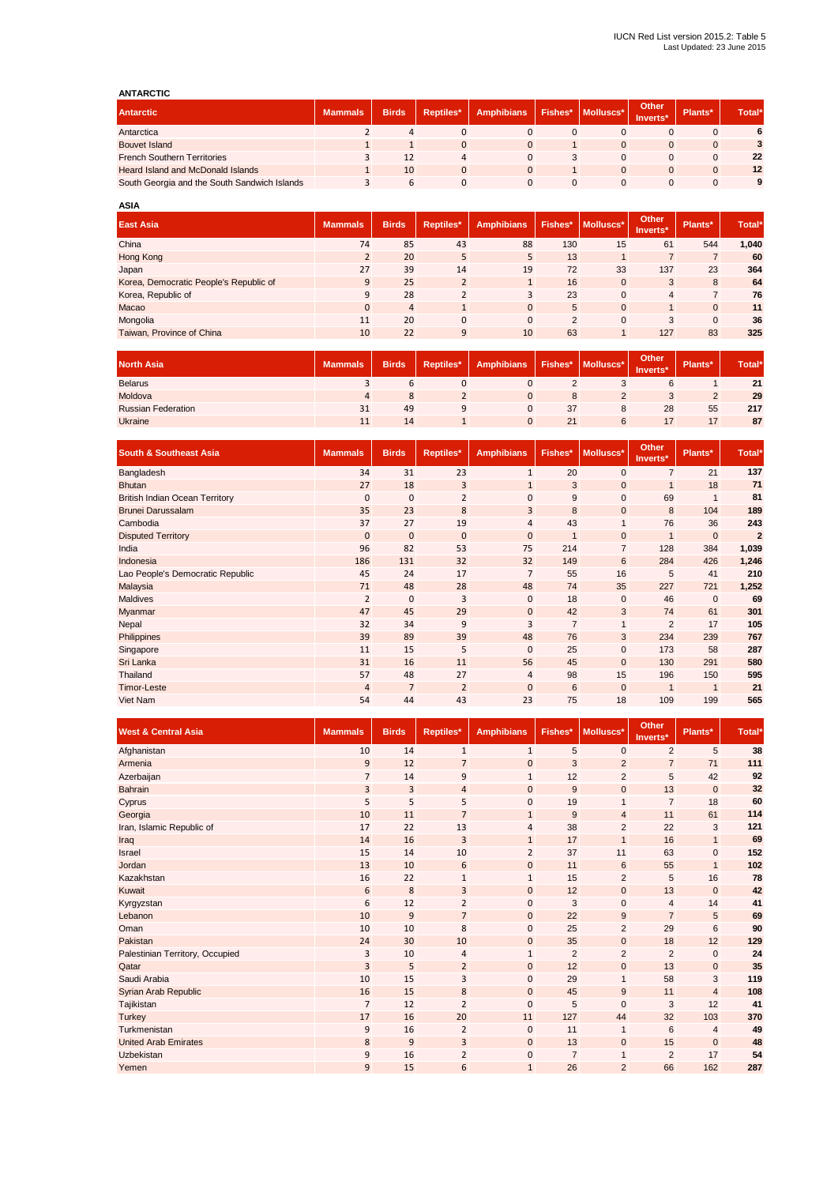## **ANTARCTIC**

| <b>MILAIVILLY</b>                            |                |              |           |                   |         |           |                   |         |       |
|----------------------------------------------|----------------|--------------|-----------|-------------------|---------|-----------|-------------------|---------|-------|
| <b>Antarctic</b>                             | <b>Mammals</b> | <b>Birds</b> | Reptiles* | <b>Amphibians</b> | Fishes* | Molluscs* | Other<br>Inverts* | Plants* | Total |
| Antarctica                                   |                | 4            |           | 0                 |         |           |                   |         |       |
| <b>Bouvet Island</b>                         |                |              | $\Omega$  |                   |         |           |                   |         |       |
| <b>French Southern Territories</b>           |                | 12           | 4         |                   |         |           |                   |         | 22    |
| <b>Heard Island and McDonald Islands</b>     |                | 10           | $\Omega$  | $\Omega$          |         |           |                   | 0       | 12    |
| South Georgia and the South Sandwich Islands |                | 6            |           | 0                 |         |           |                   |         |       |
|                                              |                |              |           |                   |         |           |                   |         |       |

| <b>ASIA</b>                            |                |                |                |                   |         |                |                   |                |                    |
|----------------------------------------|----------------|----------------|----------------|-------------------|---------|----------------|-------------------|----------------|--------------------|
| <b>East Asia</b>                       | <b>Mammals</b> | <b>Birds</b>   | Reptiles*      | <b>Amphibians</b> | Fishes* | Molluscs*      | Other<br>Inverts* | Plants*        | Total <sup>*</sup> |
| China                                  | 74             | 85             | 43             | 88                | 130     | 15             | 61                | 544            | 1,040              |
| Hong Kong                              | $\overline{2}$ | 20             | 5              | 5                 | 13      |                | $\overline{7}$    | $\overline{7}$ | 60                 |
| Japan                                  | 27             | 39             | 14             | 19                | 72      | 33             | 137               | 23             | 364                |
| Korea, Democratic People's Republic of | 9              | 25             | $\overline{2}$ | $\mathbf{1}$      | 16      | $\overline{0}$ | 3                 | 8              | 64                 |
| Korea, Republic of                     | 9              | 28             | $\overline{2}$ | 3                 | 23      | $\mathbf{0}$   | 4                 | $\overline{7}$ | 76                 |
| Macao                                  | $\mathbf{0}$   | $\overline{4}$ | $\mathbf{1}$   | $\mathbf{0}$      | 5       | $\mathbf{0}$   |                   | $\mathbf{0}$   | 11                 |
| Mongolia                               | 11             | 20             | $\mathbf{0}$   | 0                 | 2       | $\mathbf{0}$   | 3                 | $\mathbf{0}$   | 36                 |
| Taiwan, Province of China              | 10             | 22             | 9              | 10                | 63      |                | 127               | 83             | 325                |

| <b>North Asia</b>         | <b>Mammals</b> | <b>Birds</b> | Reptiles* | <b>Amphibians</b> | Fishes* | Molluscs* | <b>Other</b><br>Inverts* | Plants* | Total* |
|---------------------------|----------------|--------------|-----------|-------------------|---------|-----------|--------------------------|---------|--------|
| <b>Belarus</b>            |                |              |           |                   |         |           |                          |         | 21     |
| Moldova                   |                |              |           |                   |         |           | ັ                        |         | 29     |
| <b>Russian Federation</b> | 31             | 49           |           |                   | 37      | ö         | 28                       | 55      | 217    |
| Ukraine                   | 11             | 14           |           | $\Omega$          | 21      | 6         |                          |         | 87     |

| <b>South &amp; Southeast Asia</b>     | <b>Mammals</b> | <b>Birds</b>   | Reptiles*      | <b>Amphibians</b> | Fishes*        | Molluscs*      | Other<br>Inverts* | Plants*        | Total*         |
|---------------------------------------|----------------|----------------|----------------|-------------------|----------------|----------------|-------------------|----------------|----------------|
| Bangladesh                            | 34             | 31             | 23             | $\mathbf{1}$      | 20             | $\mathbf{0}$   | $\overline{7}$    | 21             | 137            |
| <b>Bhutan</b>                         | 27             | 18             | 3              | $\mathbf{1}$      | 3              | $\mathbf 0$    | $\mathbf{1}$      | 18             | 71             |
| <b>British Indian Ocean Territory</b> | $\mathbf{0}$   | $\mathbf 0$    | $\overline{2}$ | $\mathbf{0}$      | 9              | $\mathbf 0$    | 69                | $\mathbf{1}$   | 81             |
| <b>Brunei Darussalam</b>              | 35             | 23             | 8              | $\overline{3}$    | 8              | $\mathbf 0$    | 8                 | 104            | 189            |
| Cambodia                              | 37             | 27             | 19             | $\overline{4}$    | 43             | $\mathbf{1}$   | 76                | 36             | 243            |
| <b>Disputed Territory</b>             | $\mathbf{0}$   | $\mathbf{0}$   | $\mathbf{0}$   | $\mathbf{0}$      | $\mathbf{1}$   | $\mathbf{0}$   | $\mathbf{1}$      | $\overline{0}$ | $\overline{2}$ |
| India                                 | 96             | 82             | 53             | 75                | 214            | $\overline{7}$ | 128               | 384            | 1,039          |
| Indonesia                             | 186            | 131            | 32             | 32                | 149            | 6              | 284               | 426            | 1,246          |
| Lao People's Democratic Republic      | 45             | 24             | 17             | $\overline{7}$    | 55             | 16             | 5                 | 41             | 210            |
| Malaysia                              | 71             | 48             | 28             | 48                | 74             | 35             | 227               | 721            | 1,252          |
| Maldives                              | $\overline{2}$ | 0              | 3              | $\mathbf{0}$      | 18             | $\mathbf 0$    | 46                | $\mathbf{0}$   | 69             |
| Myanmar                               | 47             | 45             | 29             | $\mathbf{0}$      | 42             | 3              | 74                | 61             | 301            |
| Nepal                                 | 32             | 34             | 9              | 3                 | $\overline{7}$ | $\mathbf{1}$   | 2                 | 17             | 105            |
| Philippines                           | 39             | 89             | 39             | 48                | 76             | 3              | 234               | 239            | 767            |
| Singapore                             | 11             | 15             | 5              | $\mathbf{0}$      | 25             | $\mathbf 0$    | 173               | 58             | 287            |
| Sri Lanka                             | 31             | 16             | 11             | 56                | 45             | $\mathbf{0}$   | 130               | 291            | 580            |
| Thailand                              | 57             | 48             | 27             | 4                 | 98             | 15             | 196               | 150            | 595            |
| <b>Timor-Leste</b>                    | $\overline{4}$ | $\overline{7}$ | $\overline{2}$ | $\mathbf{0}$      | 6              | $\mathbf{0}$   | $\overline{1}$    | $\mathbf{1}$   | 21             |
| Viet Nam                              | 54             | 44             | 43             | 23                | 75             | 18             | 109               | 199            | 565            |

| <b>West &amp; Central Asia</b>  | <b>Mammals</b> | <b>Birds</b> | Reptiles*      | <b>Amphibians</b> | Fishes*        | Molluscs*       | Other<br>Inverts* | Plants*        | Total* |
|---------------------------------|----------------|--------------|----------------|-------------------|----------------|-----------------|-------------------|----------------|--------|
| Afghanistan                     | 10             | 14           | $\mathbf{1}$   | $\mathbf{1}$      | 5              | $\mathbf 0$     | $\overline{2}$    | 5              | 38     |
| Armenia                         | 9              | 12           | $\overline{7}$ | $\mathbf{0}$      | 3              | $\overline{2}$  | $\overline{7}$    | 71             | 111    |
| Azerbaijan                      | $\overline{7}$ | 14           | 9              | $\mathbf{1}$      | 12             | $\overline{2}$  | 5                 | 42             | 92     |
| <b>Bahrain</b>                  | 3              | 3            | $\overline{4}$ | $\mathbf 0$       | 9              | $\pmb{0}$       | 13                | $\mathbf{0}$   | 32     |
| Cyprus                          | 5              | 5            | 5              | 0                 | 19             | 1               | $\overline{7}$    | 18             | 60     |
| Georgia                         | 10             | 11           | $\overline{7}$ | $\mathbf{1}$      | 9              | $\overline{4}$  | 11                | 61             | 114    |
| Iran, Islamic Republic of       | 17             | 22           | 13             | $\overline{4}$    | 38             | $\overline{2}$  | 22                | 3              | 121    |
| Iraq                            | 14             | 16           | 3              | $\mathbf{1}$      | 17             | $\mathbf{1}$    | 16                | $\mathbf{1}$   | 69     |
| Israel                          | 15             | 14           | 10             | $\overline{2}$    | 37             | 11              | 63                | 0              | 152    |
| Jordan                          | 13             | 10           | 6              | $\mathbf 0$       | 11             | $6\phantom{1}6$ | 55                | $\mathbf{1}$   | 102    |
| Kazakhstan                      | 16             | 22           | $\mathbf{1}$   | $\mathbf{1}$      | 15             | $\overline{2}$  | 5                 | 16             | 78     |
| Kuwait                          | 6              | 8            | 3              | $\mathbf{0}$      | 12             | $\pmb{0}$       | 13                | $\mathbf{0}$   | 42     |
| Kyrgyzstan                      | 6              | 12           | $\overline{2}$ | $\bf 0$           | 3              | $\mathbf 0$     | 4                 | 14             | 41     |
| Lebanon                         | 10             | 9            | $\overline{7}$ | $\mathbf{0}$      | 22             | 9               | $\overline{7}$    | 5              | 69     |
| Oman                            | 10             | 10           | 8              | $\mathbf{0}$      | 25             | $\overline{2}$  | 29                | 6              | 90     |
| Pakistan                        | 24             | 30           | 10             | $\mathbf 0$       | 35             | $\mathbf 0$     | 18                | 12             | 129    |
| Palestinian Territory, Occupied | 3              | 10           | $\overline{4}$ | $\mathbf{1}$      | $\overline{2}$ | $\overline{2}$  | $\overline{2}$    | $\mathbf{0}$   | 24     |
| Qatar                           | 3              | 5            | $\overline{2}$ | $\mathbf{0}$      | 12             | $\mathbf 0$     | 13                | $\mathbf 0$    | 35     |
| Saudi Arabia                    | 10             | 15           | 3              | $\bf 0$           | 29             | $\mathbf{1}$    | 58                | 3              | 119    |
| Syrian Arab Republic            | 16             | 15           | 8              | $\mathbf{0}$      | 45             | 9               | 11                | $\overline{4}$ | 108    |
| Tajikistan                      | 7              | 12           | $\overline{2}$ | $\mathbf{0}$      | 5              | $\mathbf 0$     | 3                 | 12             | 41     |
| <b>Turkey</b>                   | 17             | 16           | 20             | 11                | 127            | 44              | 32                | 103            | 370    |
| Turkmenistan                    | 9              | 16           | $\overline{2}$ | $\mathbf 0$       | 11             | $\mathbf{1}$    | 6                 | $\overline{4}$ | 49     |
| <b>United Arab Emirates</b>     | 8              | 9            | 3              | $\mathbf{0}$      | 13             | $\pmb{0}$       | 15                | $\mathbf{0}$   | 48     |
| Uzbekistan                      | 9              | 16           | $\overline{2}$ | $\bf 0$           | $\overline{7}$ | $\mathbf{1}$    | $\overline{2}$    | 17             | 54     |
| Yemen                           | 9              | 15           | 6              | $\mathbf{1}$      | 26             | $\overline{2}$  | 66                | 162            | 287    |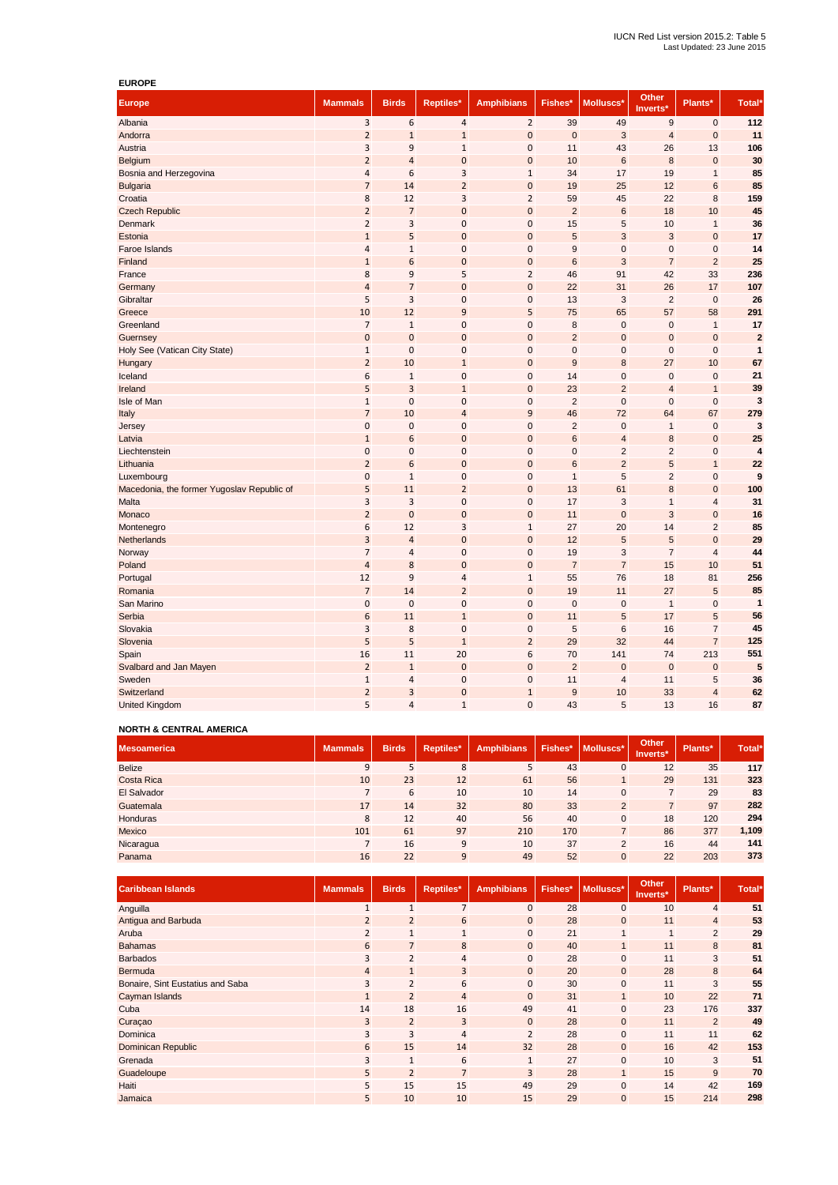| <b>EUROPE</b>                              |                |                |                |                   |                |                |                          |                |                |
|--------------------------------------------|----------------|----------------|----------------|-------------------|----------------|----------------|--------------------------|----------------|----------------|
| <b>Europe</b>                              | <b>Mammals</b> | <b>Birds</b>   | Reptiles*      | <b>Amphibians</b> | Fishes*        | Molluscs*      | <b>Other</b><br>Inverts* | Plants*        | Total*         |
| Albania                                    | 3              | 6              | $\sqrt{4}$     | $\overline{2}$    | 39             | 49             | 9                        | $\pmb{0}$      | 112            |
| Andorra                                    | $\overline{2}$ | $\mathbf{1}$   | $\mathbf{1}$   | $\mathbf{0}$      | $\mathbf 0$    | 3              | $\overline{\mathbf{r}}$  | $\mathbf 0$    | 11             |
| Austria                                    | 3              | 9              | $\mathbf 1$    | $\mathbf{0}$      | 11             | 43             | 26                       | 13             | 106            |
| Belgium                                    | $\overline{2}$ | $\overline{a}$ | $\mathbf 0$    | $\mathbf{0}$      | 10             | 6              | 8                        | $\mathbf 0$    | 30             |
| Bosnia and Herzegovina                     | $\overline{4}$ | 6              | 3              | $\mathbf{1}$      | 34             | 17             | 19                       | $\mathbf{1}$   | 85             |
| <b>Bulgaria</b>                            | $\overline{7}$ | 14             | $\overline{2}$ | $\mathbf{0}$      | 19             | 25             | 12                       | 6              | 85             |
| Croatia                                    | 8              | 12             | 3              | $\overline{2}$    | 59             | 45             | 22                       | 8              | 159            |
| <b>Czech Republic</b>                      | $\overline{2}$ | $\overline{7}$ | $\mathbf 0$    | $\mathbf{0}$      | $\overline{2}$ | $\,6$          | 18                       | 10             | 45             |
| Denmark                                    | $\overline{2}$ | 3              | $\bf 0$        | $\mathbf{0}$      | 15             | 5              | 10                       | $\mathbf{1}$   | 36             |
| Estonia                                    | $\mathbf{1}$   | 5              | $\overline{0}$ | $\mathbf{0}$      | 5              | 3              | 3                        | $\mathbf 0$    | 17             |
| Faroe Islands                              | $\overline{4}$ | $\mathbf{1}$   | $\mathbf 0$    | $\mathbf 0$       | 9              | $\mathbf 0$    | $\mathbf 0$              | $\mathbf 0$    | 14             |
| Finland                                    | $\mathbf 1$    | 6              | $\mathbf 0$    | $\mathbf{0}$      | $6\phantom{1}$ | 3              | $\overline{7}$           | $\overline{2}$ | 25             |
| France                                     | 8              | 9              | 5              | $\overline{2}$    | 46             | 91             | 42                       | 33             | 236            |
| Germany                                    | $\overline{a}$ | $\overline{7}$ | $\mathbf 0$    | $\mathbf{0}$      | 22             | 31             | 26                       | 17             | 107            |
| Gibraltar                                  | 5              | 3              | $\pmb{0}$      | $\mathbf{0}$      | 13             | 3              | $\overline{2}$           | $\mathbf 0$    | 26             |
| Greece                                     | 10             | 12             | 9              | 5                 | 75             | 65             | 57                       | 58             | 291            |
| Greenland                                  | $\overline{7}$ | $\mathbf 1$    | $\mathbf 0$    | $\mathbf{0}$      | $\bf8$         | $\mathbf 0$    | $\mathbf 0$              | $\mathbf{1}$   | 17             |
| Guernsey                                   | $\pmb{0}$      | $\bf{0}$       | $\mathbf{0}$   | $\mathbf{0}$      | $\overline{2}$ | $\mathbf 0$    | $\mathbf 0$              | $\mathbf 0$    | $\overline{2}$ |
| Holy See (Vatican City State)              | $\mathbf 1$    | $\mathbf 0$    | $\mathbf 0$    | $\mathbf{0}$      | $\pmb{0}$      | $\mathbf 0$    | $\mathbf 0$              | $\mathbf 0$    | $\mathbf{1}$   |
| Hungary                                    | $\overline{2}$ | 10             | $1\,$          | $\mathbf{0}$      | 9              | $\bf8$         | 27                       | 10             | 67             |
| Iceland                                    | 6              | $\mathbf{1}$   | $\pmb{0}$      | $\boldsymbol{0}$  | 14             | $\mathbf 0$    | $\mathbf 0$              | $\mathbf 0$    | 21             |
| Ireland                                    | 5              | 3              | $1\,$          | $\bf{0}$          | 23             | $\overline{2}$ | $\overline{4}$           | $\mathbf{1}$   | 39             |
| Isle of Man                                | $\mathbf{1}$   | $\overline{0}$ | $\pmb{0}$      | $\mathbf{0}$      | $\overline{2}$ | $\mathbf 0$    | $\overline{0}$           | $\overline{0}$ | 3              |
| Italy                                      | $\overline{7}$ | 10             | $\overline{4}$ | 9                 | 46             | 72             | 64                       | 67             | 279            |
| Jersey                                     | $\mathbf 0$    | $\mathbf 0$    | $\mathbf 0$    | $\mathbf{0}$      | $\overline{2}$ | $\mathbf 0$    | $\mathbf{1}$             | $\overline{0}$ | 3              |
| Latvia                                     | $\mathbf 1$    | 6              | $\mathbf 0$    | $\mathbf{0}$      | $6\phantom{1}$ | $\overline{4}$ | 8                        | $\mathbf 0$    | 25             |
| Liechtenstein                              | $\mathbf 0$    | $\mathbf 0$    | $\pmb{0}$      | $\mathbf{0}$      | $\pmb{0}$      | $\overline{2}$ | $\overline{2}$           | $\mathbf 0$    | 4              |
| Lithuania                                  | $\overline{2}$ | 6              | $\mathbf 0$    | $\mathbf{0}$      | $6\phantom{1}$ | $\overline{2}$ | 5                        | $\mathbf{1}$   | 22             |
| Luxembourg                                 | $\mathbf 0$    | $\mathbf 1$    | $\bf 0$        | $\mathbf 0$       | $\mathbf{1}$   | 5              | $\overline{2}$           | $\mathbf 0$    | 9              |
| Macedonia, the former Yugoslav Republic of | 5              | 11             | $\overline{2}$ | $\mathbf 0$       | 13             | 61             | $\bf 8$                  | $\mathbf 0$    | 100            |
| Malta                                      | 3              | 3              | $\pmb{0}$      | $\mathbf 0$       | 17             | 3              | $\mathbf{1}$             | $\overline{4}$ | 31             |
| Monaco                                     | $\mathbf 2$    | $\bf 0$        | $\pmb{0}$      | $\bf{0}$          | 11             | $\mathbf 0$    | 3                        | $\mathbf 0$    | 16             |
| Montenegro                                 | $\,6$          | 12             | 3              | $\mathbf 1$       | 27             | 20             | 14                       | $\overline{2}$ | 85             |
| Netherlands                                | 3              | 4              | $\pmb{0}$      | 0                 | 12             | 5              | 5                        | $\mathbf 0$    | 29             |
| Norway                                     | $\overline{7}$ | $\overline{4}$ | $\bf 0$        | $\mathbf 0$       | 19             | 3              | $\overline{7}$           | $\overline{4}$ | 44             |
| Poland                                     | $\overline{4}$ | 8              | $\mathbf{0}$   | $\mathbf{0}$      | $\overline{7}$ | $\overline{7}$ | 15                       | 10             | 51             |
| Portugal                                   | 12             | 9              | $\sqrt{4}$     | $\mathbf{1}$      | 55             | 76             | 18                       | 81             | 256            |
| Romania                                    | $\overline{7}$ | 14             | $\overline{2}$ | $\mathbf{0}$      | 19             | 11             | 27                       | 5              | 85             |
| San Marino                                 | $\bf 0$        | $\mathbf 0$    | $\bf 0$        | $\mathbf{0}$      | $\pmb{0}$      | $\mathbf 0$    | $\mathbf{1}$             | $\mathbf 0$    | $\mathbf{1}$   |
| Serbia                                     | 6              | 11             | $\mathbf 1$    | $\mathbf{0}$      | 11             | 5              | 17                       | 5              | 56             |
| Slovakia                                   | 3              | 8              | $\bf 0$        | $\mathbf{0}$      | $\sqrt{5}$     | 6              | 16                       | $\overline{7}$ | 45             |
| Slovenia                                   | 5              | 5              | $\mathbf{1}$   | $\overline{2}$    | 29             | 32             | 44                       | $\overline{7}$ | 125            |
| Spain                                      | 16             | 11             | 20             | 6                 | 70             | 141            | 74                       | 213            | 551            |
| Svalbard and Jan Mayen                     | $\overline{2}$ | $\mathbf{1}$   | $\mathbf{0}$   | $\bf{0}$          | $\overline{2}$ | $\mathbf 0$    | $\mathbf 0$              | $\mathbf 0$    | 5              |
| Sweden                                     | $1\,$          | 4              | $\pmb{0}$      | $\bf{0}$          | 11             | $\overline{4}$ | 11                       | 5              | 36             |
| Switzerland                                | $\overline{2}$ | 3              | $\mathbf{0}$   | $\mathbf{1}$      | 9              | 10             | 33                       | $\overline{4}$ | 62             |
| United Kingdom                             | 5              | $\overline{4}$ | $\mathbf{1}$   | 0                 | 43             | 5              | 13                       | 16             | 87             |

### **NORTH & CENTRAL AMERICA**

| <b>Mesoamerica</b> | <b>Mammals</b> | <b>Birds</b> | Reptiles* | <b>Amphibians</b> | <b>Fishes*</b> | Molluscs*      | <b>Other</b><br>Inverts* | Plants* | Total* |
|--------------------|----------------|--------------|-----------|-------------------|----------------|----------------|--------------------------|---------|--------|
| <b>Belize</b>      | 9              | 5            | 8         | 5                 | 43             | 0              | 12                       | 35      | 117    |
| Costa Rica         | 10             | 23           | 12        | 61                | 56             |                | 29                       | 131     | 323    |
| El Salvador        |                | 6            | 10        | 10                | 14             | $\mathbf 0$    |                          | 29      | 83     |
| Guatemala          | 17             | 14           | 32        | 80                | 33             | 2              |                          | 97      | 282    |
| Honduras           | 8              | 12           | 40        | 56                | 40             | $\mathbf 0$    | 18                       | 120     | 294    |
| Mexico             | 101            | 61           | 97        | 210               | 170            | $\overline{7}$ | 86                       | 377     | 1,109  |
| Nicaragua          |                | 16           | 9         | 10                | 37             | $\overline{2}$ | 16                       | 44      | 141    |
| Panama             | 16             | 22           | 9         | 49                | 52             | $\mathbf{0}$   | 22                       | 203     | 373    |

| <b>Caribbean Islands</b>         | <b>Mammals</b> | <b>Birds</b>   | Reptiles*      | <b>Amphibians</b> | Fishes* | Molluscs*      | <b>Other</b><br>Inverts* | Plants*        | Total* |
|----------------------------------|----------------|----------------|----------------|-------------------|---------|----------------|--------------------------|----------------|--------|
| Anguilla                         |                | $\overline{1}$ | $\overline{7}$ | $\mathbf{0}$      | 28      | 0              | 10                       | $\overline{4}$ | 51     |
| Antigua and Barbuda              | $\overline{2}$ | $\overline{2}$ | 6              | $\overline{0}$    | 28      | $\overline{0}$ | 11                       | $\overline{4}$ | 53     |
| Aruba                            | $\overline{2}$ | 1              | $\mathbf{1}$   | $\mathbf{0}$      | 21      | $\mathbf{1}$   | $\mathbf{1}$             | 2              | 29     |
| <b>Bahamas</b>                   | 6              | $\overline{7}$ | 8              | $\mathbf{0}$      | 40      | $\mathbf{1}$   | 11                       | 8              | 81     |
| <b>Barbados</b>                  | 3              | $\overline{2}$ | 4              | $\mathbf{0}$      | 28      | $\mathbf 0$    | 11                       | 3              | 51     |
| Bermuda                          | $\overline{4}$ | $\mathbf{1}$   | 3              | $\overline{0}$    | 20      | $\overline{0}$ | 28                       | 8              | 64     |
| Bonaire, Sint Eustatius and Saba | 3              | $\overline{2}$ | 6              | $\mathbf{0}$      | 30      | $\mathbf{0}$   | 11                       | 3              | 55     |
| Cayman Islands                   |                | $\overline{2}$ | $\overline{4}$ | $\overline{0}$    | 31      | $\mathbf{1}$   | 10                       | 22             | 71     |
| Cuba                             | 14             | 18             | 16             | 49                | 41      | 0              | 23                       | 176            | 337    |
| Curaçao                          | $\overline{3}$ | $\overline{2}$ | 3              | $\overline{0}$    | 28      | $\mathbf 0$    | 11                       | 2              | 49     |
| Dominica                         | $\overline{3}$ | 3              | 4              | $\overline{2}$    | 28      | $\mathbf{0}$   | 11                       | 11             | 62     |
| Dominican Republic               | 6              | 15             | 14             | 32                | 28      | $\mathbf{0}$   | 16                       | 42             | 153    |
| Grenada                          | $\overline{3}$ | $\mathbf{1}$   | 6              | $\mathbf{1}$      | 27      | $\mathbf{0}$   | 10                       | 3              | 51     |
| Guadeloupe                       | 5              | $\overline{2}$ | $\overline{7}$ | 3                 | 28      | $\mathbf{1}$   | 15                       | 9              | 70     |
| Haiti                            | 5              | 15             | 15             | 49                | 29      | $\mathbf 0$    | 14                       | 42             | 169    |
| Jamaica                          | 5              | 10             | 10             | 15                | 29      | $\mathbf{0}$   | 15                       | 214            | 298    |